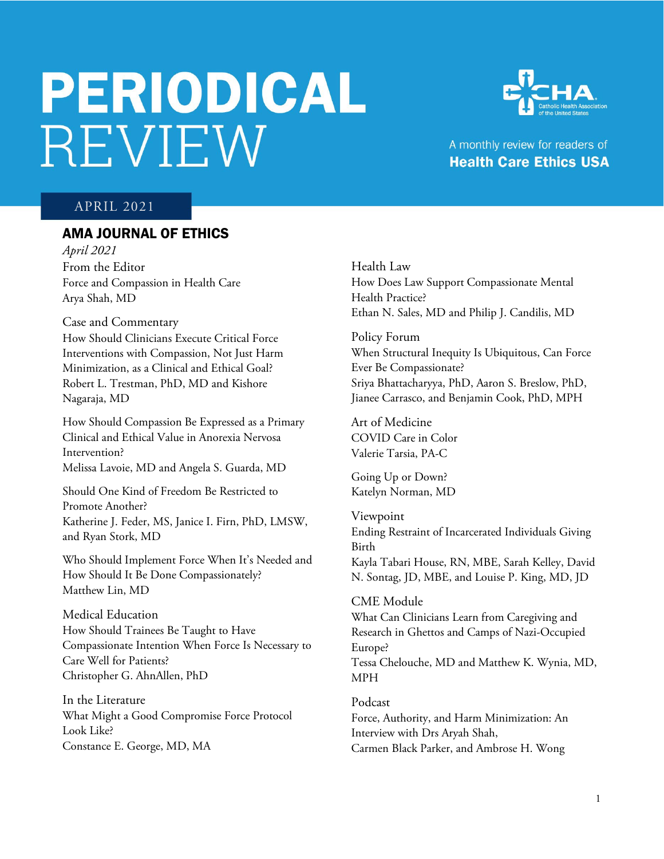# **PERIODICAL** REVIEW



# A monthly review for readers of **Health Care Ethics USA**

## APRIL 2021

# AMA JOURNAL OF ETHICS

*April 2021*  From the Editor Force and Compassion in Health Care Arya Shah, MD

#### Case and Commentary

How Should Clinicians Execute Critical Force Interventions with Compassion, Not Just Harm Minimization, as a Clinical and Ethical Goal? Robert L. Trestman, PhD, MD and Kishore Nagaraja, MD

How Should Compassion Be Expressed as a Primary Clinical and Ethical Value in Anorexia Nervosa Intervention? Melissa Lavoie, MD and Angela S. Guarda, MD

Should One Kind of Freedom Be Restricted to Promote Another? Katherine J. Feder, MS, Janice I. Firn, PhD, LMSW, and Ryan Stork, MD

Who Should Implement Force When It's Needed and How Should It Be Done Compassionately? Matthew Lin, MD

Medical Education How Should Trainees Be Taught to Have Compassionate Intention When Force Is Necessary to Care Well for Patients? Christopher G. AhnAllen, PhD

In the Literature What Might a Good Compromise Force Protocol Look Like? Constance E. George, MD, MA

Health Law How Does Law Support Compassionate Mental Health Practice? Ethan N. Sales, MD and Philip J. Candilis, MD

Policy Forum When Structural Inequity Is Ubiquitous, Can Force Ever Be Compassionate? Sriya Bhattacharyya, PhD, Aaron S. Breslow, PhD, Jianee Carrasco, and Benjamin Cook, PhD, MPH

Art of Medicine COVID Care in Color Valerie Tarsia, PA-C

Going Up or Down? Katelyn Norman, MD

Viewpoint Ending Restraint of Incarcerated Individuals Giving Birth Kayla Tabari House, RN, MBE, Sarah Kelley, David N. Sontag, JD, MBE, and Louise P. King, MD, JD

#### CME Module

What Can Clinicians Learn from Caregiving and Research in Ghettos and Camps of Nazi-Occupied Europe? Tessa Chelouche, MD and Matthew K. Wynia, MD, MPH

Podcast Force, Authority, and Harm Minimization: An Interview with Drs Aryah Shah, Carmen Black Parker, and Ambrose H. Wong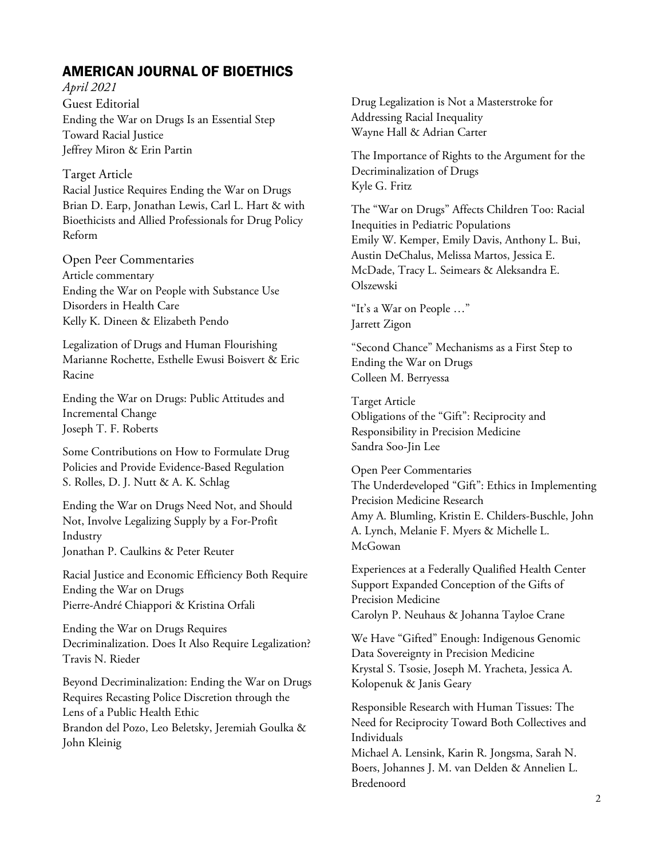# AMERICAN JOURNAL OF BIOETHICS

*April 2021* Guest Editorial Ending the War on Drugs Is an Essential Step Toward Racial Justice Jeffrey Miron & Erin Partin

## Target Article

Racial Justice Requires Ending the War on Drugs Brian D. Earp, Jonathan Lewis, Carl L. Hart & with Bioethicists and Allied Professionals for Drug Policy Reform

Open Peer Commentaries Article commentary Ending the War on People with Substance Use Disorders in Health Care Kelly K. Dineen & Elizabeth Pendo

Legalization of Drugs and Human Flourishing Marianne Rochette, Esthelle Ewusi Boisvert & Eric Racine

Ending the War on Drugs: Public Attitudes and Incremental Change Joseph T. F. Roberts

Some Contributions on How to Formulate Drug Policies and Provide Evidence-Based Regulation S. Rolles, D. J. Nutt & A. K. Schlag

Ending the War on Drugs Need Not, and Should Not, Involve Legalizing Supply by a For-Profit Industry Jonathan P. Caulkins & Peter Reuter

Racial Justice and Economic Efficiency Both Require Ending the War on Drugs Pierre-André Chiappori & Kristina Orfali

Ending the War on Drugs Requires Decriminalization. Does It Also Require Legalization? Travis N. Rieder

Beyond Decriminalization: Ending the War on Drugs Requires Recasting Police Discretion through the Lens of a Public Health Ethic Brandon del Pozo, Leo Beletsky, Jeremiah Goulka & John Kleinig

Drug Legalization is Not a Masterstroke for Addressing Racial Inequality Wayne Hall & Adrian Carter

The Importance of Rights to the Argument for the Decriminalization of Drugs Kyle G. Fritz

The "War on Drugs" Affects Children Too: Racial Inequities in Pediatric Populations Emily W. Kemper, Emily Davis, Anthony L. Bui, Austin DeChalus, Melissa Martos, Jessica E. McDade, Tracy L. Seimears & Aleksandra E. Olszewski

"It's a War on People …" Jarrett Zigon

"Second Chance" Mechanisms as a First Step to Ending the War on Drugs Colleen M. Berryessa

Target Article Obligations of the "Gift": Reciprocity and Responsibility in Precision Medicine Sandra Soo-Jin Lee

Open Peer Commentaries The Underdeveloped "Gift": Ethics in Implementing Precision Medicine Research Amy A. Blumling, Kristin E. Childers-Buschle, John A. Lynch, Melanie F. Myers & Michelle L. McGowan

Experiences at a Federally Qualified Health Center Support Expanded Conception of the Gifts of Precision Medicine Carolyn P. Neuhaus & Johanna Tayloe Crane

We Have "Gifted" Enough: Indigenous Genomic Data Sovereignty in Precision Medicine Krystal S. Tsosie, Joseph M. Yracheta, Jessica A. Kolopenuk & Janis Geary

Responsible Research with Human Tissues: The Need for Reciprocity Toward Both Collectives and Individuals

Michael A. Lensink, Karin R. Jongsma, Sarah N. Boers, Johannes J. M. van Delden & Annelien L. Bredenoord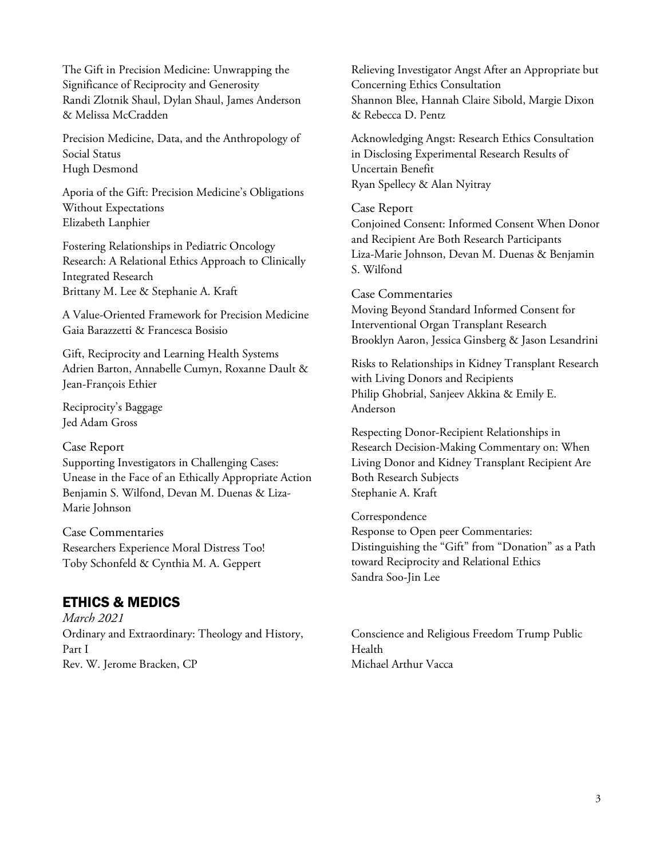The Gift in Precision Medicine: Unwrapping the Significance of Reciprocity and Generosity Randi Zlotnik Shaul, Dylan Shaul, James Anderson & Melissa McCradden

Precision Medicine, Data, and the Anthropology of Social Status Hugh Desmond

Aporia of the Gift: Precision Medicine's Obligations Without Expectations Elizabeth Lanphier

Fostering Relationships in Pediatric Oncology Research: A Relational Ethics Approach to Clinically Integrated Research Brittany M. Lee & Stephanie A. Kraft

A Value-Oriented Framework for Precision Medicine Gaia Barazzetti & Francesca Bosisio

Gift, Reciprocity and Learning Health Systems Adrien Barton, Annabelle Cumyn, Roxanne Dault & Jean-François Ethier

Reciprocity's Baggage Jed Adam Gross

## Case Report

Supporting Investigators in Challenging Cases: Unease in the Face of an Ethically Appropriate Action Benjamin S. Wilfond, Devan M. Duenas & Liza-Marie Johnson

Case Commentaries Researchers Experience Moral Distress Too! Toby Schonfeld & Cynthia M. A. Geppert

# ETHICS & MEDICS

*March 2021* Ordinary and Extraordinary: Theology and History, Part I Rev. W. Jerome Bracken, CP

Relieving Investigator Angst After an Appropriate but Concerning Ethics Consultation Shannon Blee, Hannah Claire Sibold, Margie Dixon & Rebecca D. Pentz

Acknowledging Angst: Research Ethics Consultation in Disclosing Experimental Research Results of Uncertain Benefit Ryan Spellecy & Alan Nyitray

Case Report Conjoined Consent: Informed Consent When Donor and Recipient Are Both Research Participants Liza-Marie Johnson, Devan M. Duenas & Benjamin S. Wilfond

Case Commentaries

Moving Beyond Standard Informed Consent for Interventional Organ Transplant Research Brooklyn Aaron, Jessica Ginsberg & Jason Lesandrini

Risks to Relationships in Kidney Transplant Research with Living Donors and Recipients Philip Ghobrial, Sanjeev Akkina & Emily E. Anderson

Respecting Donor-Recipient Relationships in Research Decision-Making Commentary on: When Living Donor and Kidney Transplant Recipient Are Both Research Subjects Stephanie A. Kraft

Correspondence

Response to Open peer Commentaries: Distinguishing the "Gift" from "Donation" as a Path toward Reciprocity and Relational Ethics Sandra Soo-Jin Lee

Conscience and Religious Freedom Trump Public Health Michael Arthur Vacca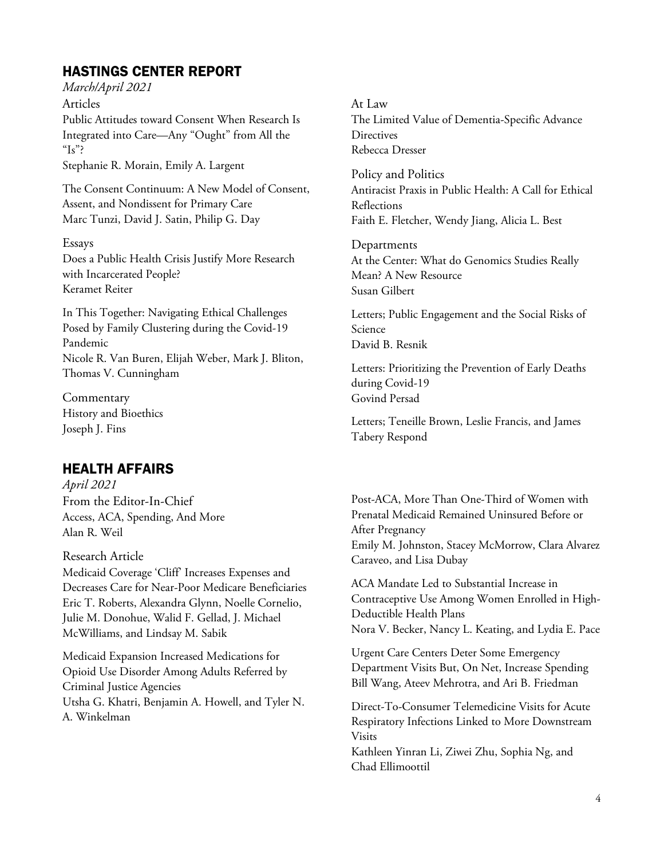# HASTINGS CENTER REPORT

*March/April 2021*

Articles Public Attitudes toward Consent When Research Is Integrated into Care—Any "Ought" from All the " $Is$ "?

Stephanie R. Morain, Emily A. Largent

The Consent Continuum: A New Model of Consent, Assent, and Nondissent for Primary Care Marc Tunzi, David J. Satin, Philip G. Day

#### Essays

Does a Public Health Crisis Justify More Research with Incarcerated People? Keramet Reiter

In This Together: Navigating Ethical Challenges Posed by Family Clustering during the Covid-19 Pandemic Nicole R. Van Buren, Elijah Weber, Mark J. Bliton, Thomas V. Cunningham

**Commentary** History and Bioethics Joseph J. Fins

# HEALTH AFFAIRS

*April 2021* From the Editor-In-Chief Access, ACA, Spending, And More Alan R. Weil

Research Article

Medicaid Coverage 'Cliff' Increases Expenses and Decreases Care for Near-Poor Medicare Beneficiaries Eric T. Roberts, Alexandra Glynn, Noelle Cornelio, Julie M. Donohue, Walid F. Gellad, J. Michael McWilliams, and Lindsay M. Sabik

Medicaid Expansion Increased Medications for Opioid Use Disorder Among Adults Referred by Criminal Justice Agencies Utsha G. Khatri, Benjamin A. Howell, and Tyler N. A. Winkelman

At Law The Limited Value of Dementia-Specific Advance **Directives** Rebecca Dresser

Policy and Politics Antiracist Praxis in Public Health: A Call for Ethical Reflections Faith E. Fletcher, Wendy Jiang, Alicia L. Best

Departments At the Center: What do Genomics Studies Really Mean? A New Resource Susan Gilbert

Letters; Public Engagement and the Social Risks of Science David B. Resnik

Letters: Prioritizing the Prevention of Early Deaths during Covid-19 Govind Persad

Letters; Teneille Brown, Leslie Francis, and James Tabery Respond

Post-ACA, More Than One-Third of Women with Prenatal Medicaid Remained Uninsured Before or After Pregnancy Emily M. Johnston, Stacey McMorrow, Clara Alvarez Caraveo, and Lisa Dubay

ACA Mandate Led to Substantial Increase in Contraceptive Use Among Women Enrolled in High-Deductible Health Plans Nora V. Becker, Nancy L. Keating, and Lydia E. Pace

Urgent Care Centers Deter Some Emergency Department Visits But, On Net, Increase Spending Bill Wang, Ateev Mehrotra, and Ari B. Friedman

Direct-To-Consumer Telemedicine Visits for Acute Respiratory Infections Linked to More Downstream Visits

Kathleen Yinran Li, Ziwei Zhu, Sophia Ng, and Chad Ellimoottil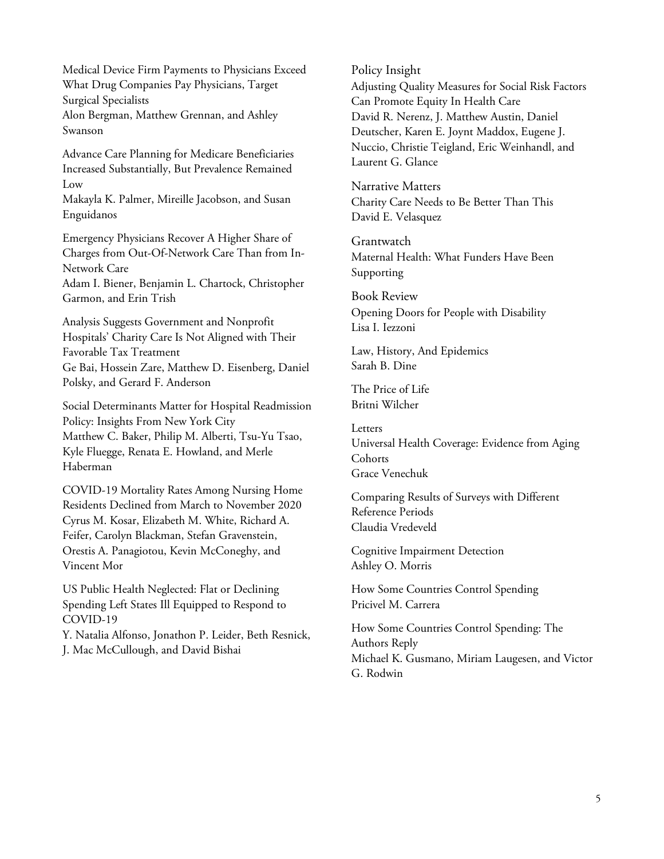Medical Device Firm Payments to Physicians Exceed What Drug Companies Pay Physicians, Target Surgical Specialists Alon Bergman, Matthew Grennan, and Ashley Swanson

Advance Care Planning for Medicare Beneficiaries Increased Substantially, But Prevalence Remained Low

Makayla K. Palmer, Mireille Jacobson, and Susan Enguidanos

Emergency Physicians Recover A Higher Share of Charges from Out-Of-Network Care Than from In-Network Care Adam I. Biener, Benjamin L. Chartock, Christopher Garmon, and Erin Trish

Analysis Suggests Government and Nonprofit Hospitals' Charity Care Is Not Aligned with Their Favorable Tax Treatment Ge Bai, Hossein Zare, Matthew D. Eisenberg, Daniel Polsky, and Gerard F. Anderson

Social Determinants Matter for Hospital Readmission Policy: Insights From New York City Matthew C. Baker, Philip M. Alberti, Tsu-Yu Tsao, Kyle Fluegge, Renata E. Howland, and Merle Haberman

COVID-19 Mortality Rates Among Nursing Home Residents Declined from March to November 2020 Cyrus M. Kosar, Elizabeth M. White, Richard A. Feifer, Carolyn Blackman, Stefan Gravenstein, Orestis A. Panagiotou, Kevin McConeghy, and Vincent Mor

US Public Health Neglected: Flat or Declining Spending Left States Ill Equipped to Respond to COVID-19

Y. Natalia Alfonso, Jonathon P. Leider, Beth Resnick, J. Mac McCullough, and David Bishai

Policy Insight

Adjusting Quality Measures for Social Risk Factors Can Promote Equity In Health Care David R. Nerenz, J. Matthew Austin, Daniel Deutscher, Karen E. Joynt Maddox, Eugene J. Nuccio, Christie Teigland, Eric Weinhandl, and Laurent G. Glance

Narrative Matters Charity Care Needs to Be Better Than This David E. Velasquez

Grantwatch Maternal Health: What Funders Have Been Supporting

Book Review Opening Doors for People with Disability Lisa I. Iezzoni

Law, History, And Epidemics Sarah B. Dine

The Price of Life Britni Wilcher

Letters Universal Health Coverage: Evidence from Aging **Cohorts** Grace Venechuk

Comparing Results of Surveys with Different Reference Periods Claudia Vredeveld

Cognitive Impairment Detection Ashley O. Morris

How Some Countries Control Spending Pricivel M. Carrera

How Some Countries Control Spending: The Authors Reply Michael K. Gusmano, Miriam Laugesen, and Victor G. Rodwin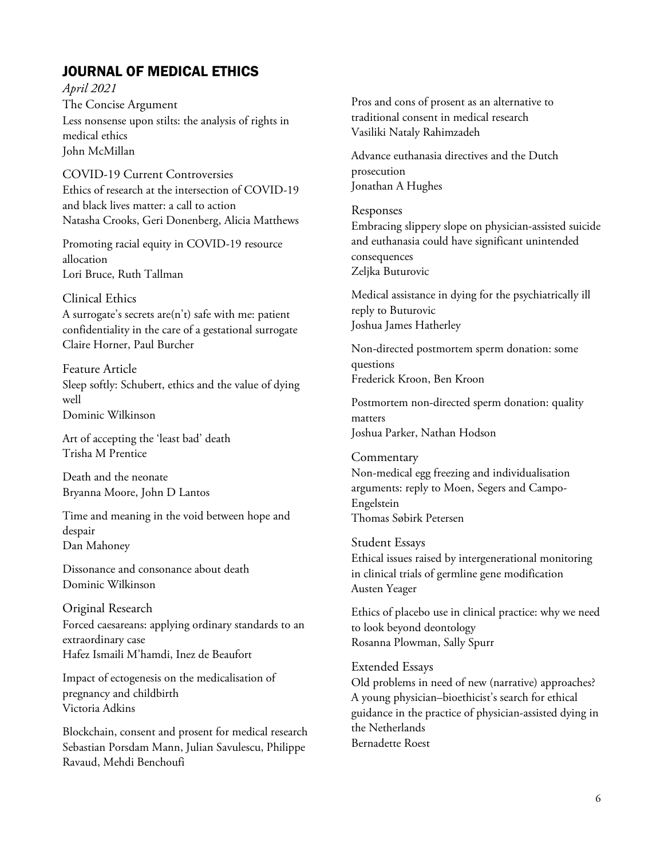# JOURNAL OF MEDICAL ETHICS

*April 2021*  The Concise Argument Less nonsense upon stilts: the analysis of rights in medical ethics John McMillan

COVID-19 Current Controversies Ethics of research at the intersection of COVID-19 and black lives matter: a call to action Natasha Crooks, Geri Donenberg, Alicia Matthews

Promoting racial equity in COVID-19 resource allocation Lori Bruce, Ruth Tallman

#### Clinical Ethics

A surrogate's secrets are(n't) safe with me: patient confidentiality in the care of a gestational surrogate Claire Horner, Paul Burcher

Feature Article Sleep softly: Schubert, ethics and the value of dying well Dominic Wilkinson

Art of accepting the 'least bad' death Trisha M Prentice

Death and the neonate Bryanna Moore, John D Lantos

Time and meaning in the void between hope and despair Dan Mahoney

Dissonance and consonance about death Dominic Wilkinson

Original Research Forced caesareans: applying ordinary standards to an extraordinary case Hafez Ismaili M'hamdi, Inez de Beaufort

Impact of ectogenesis on the medicalisation of pregnancy and childbirth Victoria Adkins

Blockchain, consent and prosent for medical research Sebastian Porsdam Mann, Julian Savulescu, Philippe Ravaud, Mehdi Benchoufi

Pros and cons of prosent as an alternative to traditional consent in medical research Vasiliki Nataly Rahimzadeh

Advance euthanasia directives and the Dutch prosecution Jonathan A Hughes

#### Responses

Embracing slippery slope on physician-assisted suicide and euthanasia could have significant unintended consequences Zeljka Buturovic

Medical assistance in dying for the psychiatrically ill reply to Buturovic Joshua James Hatherley

Non-directed postmortem sperm donation: some questions Frederick Kroon, Ben Kroon

Postmortem non-directed sperm donation: quality matters Joshua Parker, Nathan Hodson

**Commentary** Non-medical egg freezing and individualisation arguments: reply to Moen, Segers and Campo-Engelstein Thomas Søbirk Petersen

Student Essays Ethical issues raised by intergenerational monitoring in clinical trials of germline gene modification Austen Yeager

Ethics of placebo use in clinical practice: why we need to look beyond deontology Rosanna Plowman, Sally Spurr

Extended Essays Old problems in need of new (narrative) approaches? A young physician–bioethicist's search for ethical guidance in the practice of physician-assisted dying in the Netherlands Bernadette Roest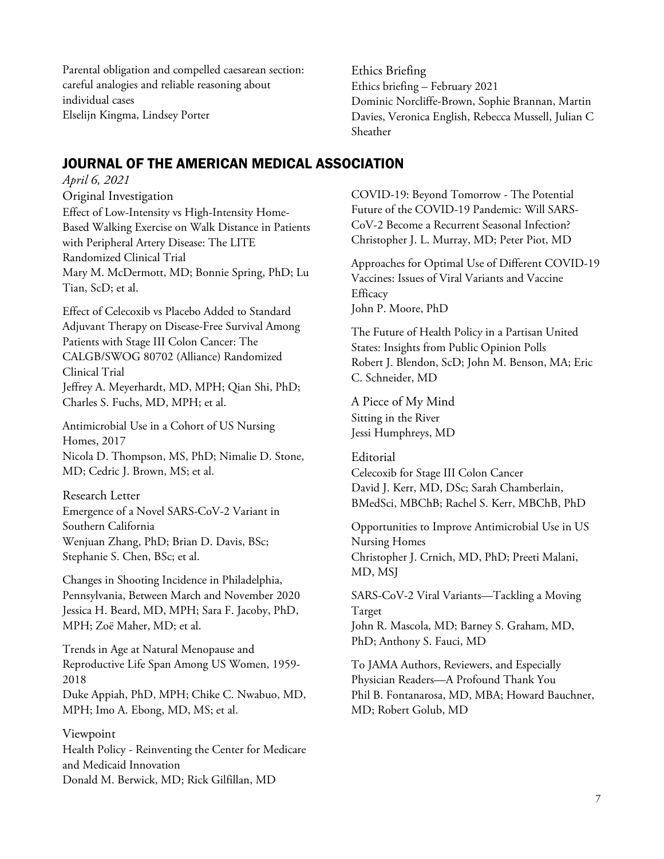Parental obligation and compelled caesarean section: careful analogies and reliable reasoning about individual cases Elselijn Kingma, Lindsey Porter

Ethics Briefing Ethics briefing – February 2021 Dominic Norcliffe-Brown, Sophie Brannan, Martin Davies, Veronica English, Rebecca Mussell, Julian C Sheather

# JOURNAL OF THE AMERICAN MEDICAL ASSOCIATION

*April 6, 2021* Original Investigation Effect of Low-Intensity vs High-Intensity Home-Based Walking Exercise on Walk Distance in Patients with Peripheral Artery Disease: The LITE Randomized Clinical Trial Mary M. McDermott, MD; Bonnie Spring, PhD; Lu Tian, ScD; et al.

Effect of Celecoxib vs Placebo Added to Standard Adjuvant Therapy on Disease-Free Survival Among Patients with Stage III Colon Cancer: The CALGB/SWOG 80702 (Alliance) Randomized Clinical Trial Jeffrey A. Meyerhardt, MD, MPH; Qian Shi, PhD; Charles S. Fuchs, MD, MPH; et al.

Antimicrobial Use in a Cohort of US Nursing Homes, 2017 Nicola D. Thompson, MS, PhD; Nimalie D. Stone, MD; Cedric J. Brown, MS; et al.

Research Letter Emergence of a Novel SARS-CoV-2 Variant in Southern California Wenjuan Zhang, PhD; Brian D. Davis, BSc; Stephanie S. Chen, BSc; et al.

Changes in Shooting Incidence in Philadelphia, Pennsylvania, Between March and November 2020 Jessica H. Beard, MD, MPH; Sara F. Jacoby, PhD, MPH; Zoë Maher, MD; et al.

Trends in Age at Natural Menopause and Reproductive Life Span Among US Women, 1959- 2018 Duke Appiah, PhD, MPH; Chike C. Nwabuo, MD, MPH; Imo A. Ebong, MD, MS; et al.

Viewpoint Health Policy - Reinventing the Center for Medicare and Medicaid Innovation Donald M. Berwick, MD; Rick Gilfillan, MD

COVID-19: Beyond Tomorrow - The Potential Future of the COVID-19 Pandemic: Will SARS-CoV-2 Become a Recurrent Seasonal Infection? Christopher J. L. Murray, MD; Peter Piot, MD

Approaches for Optimal Use of Different COVID-19 Vaccines: Issues of Viral Variants and Vaccine **Efficacy** John P. Moore, PhD

The Future of Health Policy in a Partisan United States: Insights from Public Opinion Polls Robert J. Blendon, ScD; John M. Benson, MA; Eric C. Schneider, MD

A Piece of My Mind Sitting in the River Jessi Humphreys, MD

Editorial Celecoxib for Stage III Colon Cancer David J. Kerr, MD, DSc; Sarah Chamberlain, BMedSci, MBChB; Rachel S. Kerr, MBChB, PhD

Opportunities to Improve Antimicrobial Use in US Nursing Homes Christopher J. Crnich, MD, PhD; Preeti Malani, MD, MSJ

SARS-CoV-2 Viral Variants—Tackling a Moving Target John R. Mascola, MD; Barney S. Graham, MD, PhD; Anthony S. Fauci, MD

To JAMA Authors, Reviewers, and Especially Physician Readers—A Profound Thank You Phil B. Fontanarosa, MD, MBA; Howard Bauchner, MD; Robert Golub, MD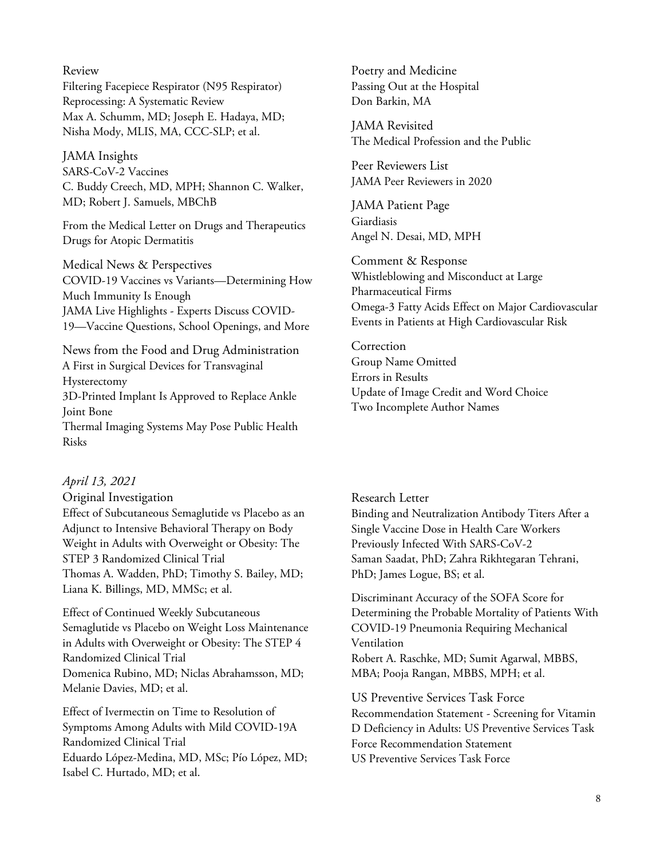#### Review

Filtering Facepiece Respirator (N95 Respirator) Reprocessing: A Systematic Review Max A. Schumm, MD; Joseph E. Hadaya, MD; Nisha Mody, MLIS, MA, CCC-SLP; et al.

## JAMA Insights

SARS-CoV-2 Vaccines C. Buddy Creech, MD, MPH; Shannon C. Walker, MD; Robert J. Samuels, MBChB

From the Medical Letter on Drugs and Therapeutics Drugs for Atopic Dermatitis

Medical News & Perspectives COVID-19 Vaccines vs Variants—Determining How Much Immunity Is Enough JAMA Live Highlights - Experts Discuss COVID-19—Vaccine Questions, School Openings, and More

News from the Food and Drug Administration A First in Surgical Devices for Transvaginal Hysterectomy 3D-Printed Implant Is Approved to Replace Ankle Joint Bone Thermal Imaging Systems May Pose Public Health Risks

#### *April 13, 2021*

Original Investigation Effect of Subcutaneous Semaglutide vs Placebo as an Adjunct to Intensive Behavioral Therapy on Body Weight in Adults with Overweight or Obesity: The STEP 3 Randomized Clinical Trial Thomas A. Wadden, PhD; Timothy S. Bailey, MD; Liana K. Billings, MD, MMSc; et al.

Effect of Continued Weekly Subcutaneous Semaglutide vs Placebo on Weight Loss Maintenance in Adults with Overweight or Obesity: The STEP 4 Randomized Clinical Trial Domenica Rubino, MD; Niclas Abrahamsson, MD; Melanie Davies, MD; et al.

Effect of Ivermectin on Time to Resolution of Symptoms Among Adults with Mild COVID-19A Randomized Clinical Trial Eduardo López-Medina, MD, MSc; Pío López, MD; Isabel C. Hurtado, MD; et al.

Poetry and Medicine Passing Out at the Hospital Don Barkin, MA

JAMA Revisited The Medical Profession and the Public

Peer Reviewers List JAMA Peer Reviewers in 2020

JAMA Patient Page Giardiasis Angel N. Desai, MD, MPH

Comment & Response Whistleblowing and Misconduct at Large Pharmaceutical Firms Omega-3 Fatty Acids Effect on Major Cardiovascular Events in Patients at High Cardiovascular Risk

Correction Group Name Omitted Errors in Results Update of Image Credit and Word Choice Two Incomplete Author Names

#### Research Letter

Binding and Neutralization Antibody Titers After a Single Vaccine Dose in Health Care Workers Previously Infected With SARS-CoV-2 Saman Saadat, PhD; Zahra Rikhtegaran Tehrani, PhD; James Logue, BS; et al.

Discriminant Accuracy of the SOFA Score for Determining the Probable Mortality of Patients With COVID-19 Pneumonia Requiring Mechanical Ventilation Robert A. Raschke, MD; Sumit Agarwal, MBBS, MBA; Pooja Rangan, MBBS, MPH; et al.

US Preventive Services Task Force Recommendation Statement - Screening for Vitamin D Deficiency in Adults: US Preventive Services Task Force Recommendation Statement US Preventive Services Task Force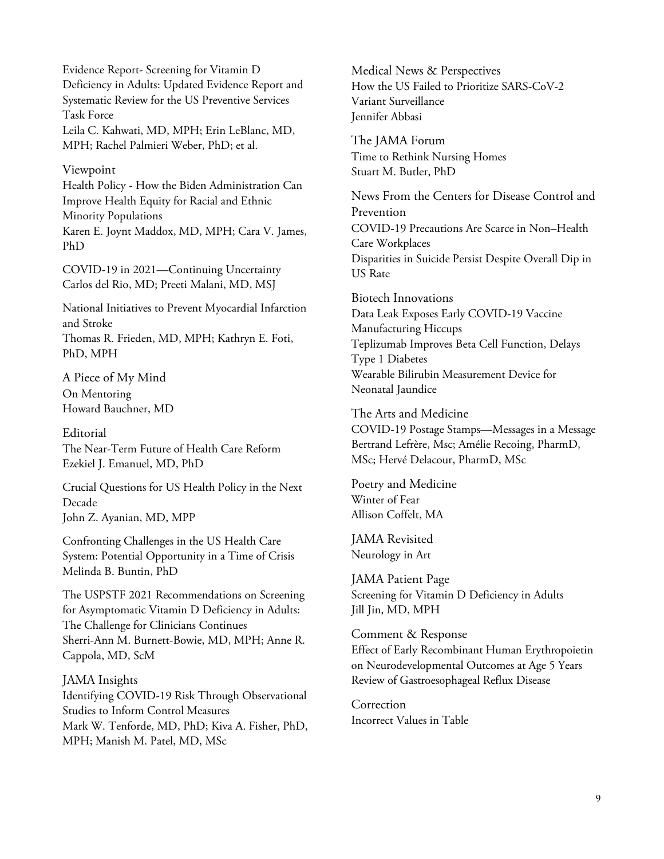Evidence Report- Screening for Vitamin D Deficiency in Adults: Updated Evidence Report and Systematic Review for the US Preventive Services Task Force Leila C. Kahwati, MD, MPH; Erin LeBlanc, MD, MPH; Rachel Palmieri Weber, PhD; et al.

#### Viewpoint

Health Policy - How the Biden Administration Can Improve Health Equity for Racial and Ethnic Minority Populations Karen E. Joynt Maddox, MD, MPH; Cara V. James, PhD

COVID-19 in 2021—Continuing Uncertainty Carlos del Rio, MD; Preeti Malani, MD, MSJ

National Initiatives to Prevent Myocardial Infarction and Stroke Thomas R. Frieden, MD, MPH; Kathryn E. Foti, PhD, MPH

A Piece of My Mind On Mentoring Howard Bauchner, MD

**Editorial** The Near-Term Future of Health Care Reform Ezekiel J. Emanuel, MD, PhD

Crucial Questions for US Health Policy in the Next Decade John Z. Ayanian, MD, MPP

Confronting Challenges in the US Health Care System: Potential Opportunity in a Time of Crisis Melinda B. Buntin, PhD

The USPSTF 2021 Recommendations on Screening for Asymptomatic Vitamin D Deficiency in Adults: The Challenge for Clinicians Continues Sherri-Ann M. Burnett-Bowie, MD, MPH; Anne R. Cappola, MD, ScM

JAMA Insights Identifying COVID-19 Risk Through Observational Studies to Inform Control Measures Mark W. Tenforde, MD, PhD; Kiva A. Fisher, PhD, MPH; Manish M. Patel, MD, MSc

Medical News & Perspectives How the US Failed to Prioritize SARS-CoV-2 Variant Surveillance Jennifer Abbasi

The JAMA Forum Time to Rethink Nursing Homes Stuart M. Butler, PhD

News From the Centers for Disease Control and Prevention COVID-19 Precautions Are Scarce in Non–Health Care Workplaces Disparities in Suicide Persist Despite Overall Dip in US Rate

Biotech Innovations Data Leak Exposes Early COVID-19 Vaccine Manufacturing Hiccups Teplizumab Improves Beta Cell Function, Delays Type 1 Diabetes Wearable Bilirubin Measurement Device for Neonatal Jaundice

The Arts and Medicine

COVID-19 Postage Stamps—Messages in a Message Bertrand Lefrère, Msc; Amélie Recoing, PharmD, MSc; Hervé Delacour, PharmD, MSc

Poetry and Medicine Winter of Fear Allison Coffelt, MA

JAMA Revisited Neurology in Art

JAMA Patient Page Screening for Vitamin D Deficiency in Adults Jill Jin, MD, MPH

Comment & Response Effect of Early Recombinant Human Erythropoietin on Neurodevelopmental Outcomes at Age 5 Years Review of Gastroesophageal Reflux Disease

Correction Incorrect Values in Table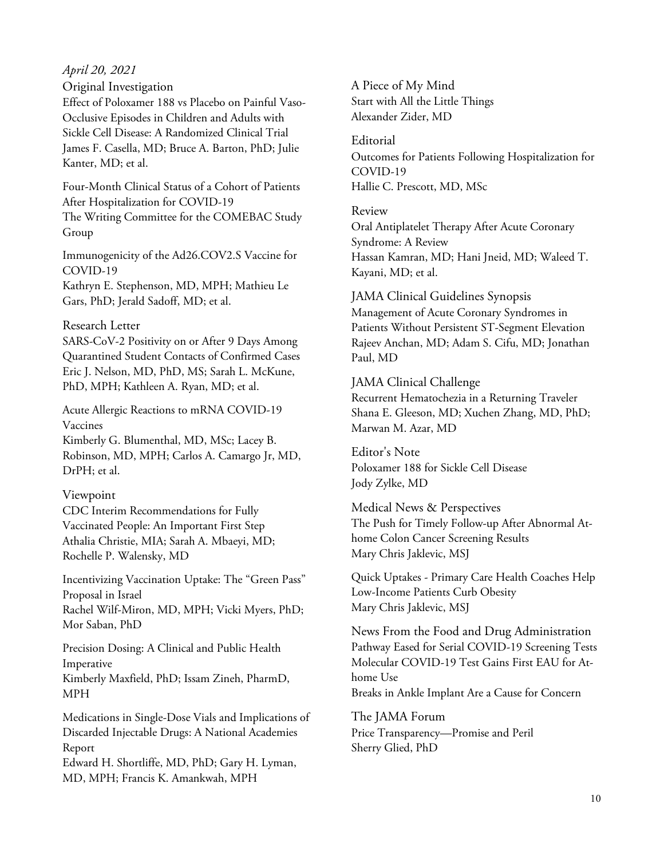## *April 20, 2021*

Original Investigation

Effect of Poloxamer 188 vs Placebo on Painful Vaso-Occlusive Episodes in Children and Adults with Sickle Cell Disease: A Randomized Clinical Trial James F. Casella, MD; Bruce A. Barton, PhD; Julie Kanter, MD; et al.

Four-Month Clinical Status of a Cohort of Patients After Hospitalization for COVID-19 The Writing Committee for the COMEBAC Study Group

Immunogenicity of the Ad26.COV2.S Vaccine for COVID-19

Kathryn E. Stephenson, MD, MPH; Mathieu Le Gars, PhD; Jerald Sadoff, MD; et al.

#### Research Letter

SARS-CoV-2 Positivity on or After 9 Days Among Quarantined Student Contacts of Confirmed Cases Eric J. Nelson, MD, PhD, MS; Sarah L. McKune, PhD, MPH; Kathleen A. Ryan, MD; et al.

Acute Allergic Reactions to mRNA COVID-19 Vaccines

Kimberly G. Blumenthal, MD, MSc; Lacey B. Robinson, MD, MPH; Carlos A. Camargo Jr, MD, DrPH; et al.

## Viewpoint

CDC Interim Recommendations for Fully Vaccinated People: An Important First Step Athalia Christie, MIA; Sarah A. Mbaeyi, MD; Rochelle P. Walensky, MD

Incentivizing Vaccination Uptake: The "Green Pass" Proposal in Israel Rachel Wilf-Miron, MD, MPH; Vicki Myers, PhD; Mor Saban, PhD

Precision Dosing: A Clinical and Public Health Imperative Kimberly Maxfield, PhD; Issam Zineh, PharmD, MPH

Medications in Single-Dose Vials and Implications of Discarded Injectable Drugs: A National Academies Report

Edward H. Shortliffe, MD, PhD; Gary H. Lyman, MD, MPH; Francis K. Amankwah, MPH

A Piece of My Mind Start with All the Little Things Alexander Zider, MD

#### Editorial

Outcomes for Patients Following Hospitalization for COVID-19 Hallie C. Prescott, MD, MSc

#### Review

Oral Antiplatelet Therapy After Acute Coronary Syndrome: A Review Hassan Kamran, MD; Hani Jneid, MD; Waleed T. Kayani, MD; et al.

JAMA Clinical Guidelines Synopsis Management of Acute Coronary Syndromes in Patients Without Persistent ST-Segment Elevation Rajeev Anchan, MD; Adam S. Cifu, MD; Jonathan Paul, MD

#### JAMA Clinical Challenge

Recurrent Hematochezia in a Returning Traveler Shana E. Gleeson, MD; Xuchen Zhang, MD, PhD; Marwan M. Azar, MD

Editor's Note Poloxamer 188 for Sickle Cell Disease Jody Zylke, MD

Medical News & Perspectives The Push for Timely Follow-up After Abnormal Athome Colon Cancer Screening Results Mary Chris Jaklevic, MSJ

Quick Uptakes - Primary Care Health Coaches Help Low-Income Patients Curb Obesity Mary Chris Jaklevic, MSJ

News From the Food and Drug Administration Pathway Eased for Serial COVID-19 Screening Tests Molecular COVID-19 Test Gains First EAU for Athome Use Breaks in Ankle Implant Are a Cause for Concern

The JAMA Forum Price Transparency—Promise and Peril Sherry Glied, PhD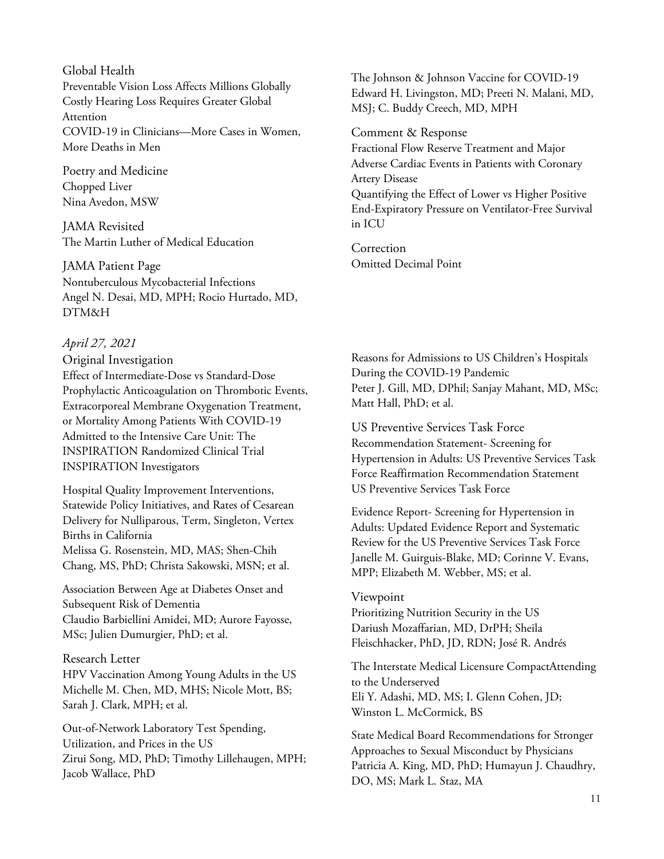#### Global Health

Preventable Vision Loss Affects Millions Globally Costly Hearing Loss Requires Greater Global Attention COVID-19 in Clinicians—More Cases in Women, More Deaths in Men

Poetry and Medicine Chopped Liver Nina Avedon, MSW

JAMA Revisited The Martin Luther of Medical Education

JAMA Patient Page Nontuberculous Mycobacterial Infections Angel N. Desai, MD, MPH; Rocio Hurtado, MD, DTM&H

#### *April 27, 2021*

Original Investigation Effect of Intermediate-Dose vs Standard-Dose Prophylactic Anticoagulation on Thrombotic Events, Extracorporeal Membrane Oxygenation Treatment, or Mortality Among Patients With COVID-19 Admitted to the Intensive Care Unit: The INSPIRATION Randomized Clinical Trial INSPIRATION Investigators

Hospital Quality Improvement Interventions, Statewide Policy Initiatives, and Rates of Cesarean Delivery for Nulliparous, Term, Singleton, Vertex Births in California Melissa G. Rosenstein, MD, MAS; Shen-Chih Chang, MS, PhD; Christa Sakowski, MSN; et al.

Association Between Age at Diabetes Onset and Subsequent Risk of Dementia Claudio Barbiellini Amidei, MD; Aurore Fayosse, MSc; Julien Dumurgier, PhD; et al.

Research Letter HPV Vaccination Among Young Adults in the US Michelle M. Chen, MD, MHS; Nicole Mott, BS; Sarah J. Clark, MPH; et al.

Out-of-Network Laboratory Test Spending, Utilization, and Prices in the US Zirui Song, MD, PhD; Timothy Lillehaugen, MPH; Jacob Wallace, PhD

The Johnson & Johnson Vaccine for COVID-19 Edward H. Livingston, MD; Preeti N. Malani, MD, MSJ; C. Buddy Creech, MD, MPH

Comment & Response

Fractional Flow Reserve Treatment and Major Adverse Cardiac Events in Patients with Coronary Artery Disease Quantifying the Effect of Lower vs Higher Positive End-Expiratory Pressure on Ventilator-Free Survival in ICU

Correction Omitted Decimal Point

Reasons for Admissions to US Children's Hospitals During the COVID-19 Pandemic Peter J. Gill, MD, DPhil; Sanjay Mahant, MD, MSc; Matt Hall, PhD; et al.

US Preventive Services Task Force Recommendation Statement- Screening for Hypertension in Adults: US Preventive Services Task Force Reaffirmation Recommendation Statement US Preventive Services Task Force

Evidence Report- Screening for Hypertension in Adults: Updated Evidence Report and Systematic Review for the US Preventive Services Task Force Janelle M. Guirguis-Blake, MD; Corinne V. Evans, MPP; Elizabeth M. Webber, MS; et al.

#### Viewpoint

Prioritizing Nutrition Security in the US Dariush Mozaffarian, MD, DrPH; Sheila Fleischhacker, PhD, JD, RDN; José R. Andrés

The Interstate Medical Licensure CompactAttending to the Underserved Eli Y. Adashi, MD, MS; I. Glenn Cohen, JD; Winston L. McCormick, BS

State Medical Board Recommendations for Stronger Approaches to Sexual Misconduct by Physicians Patricia A. King, MD, PhD; Humayun J. Chaudhry, DO, MS; Mark L. Staz, MA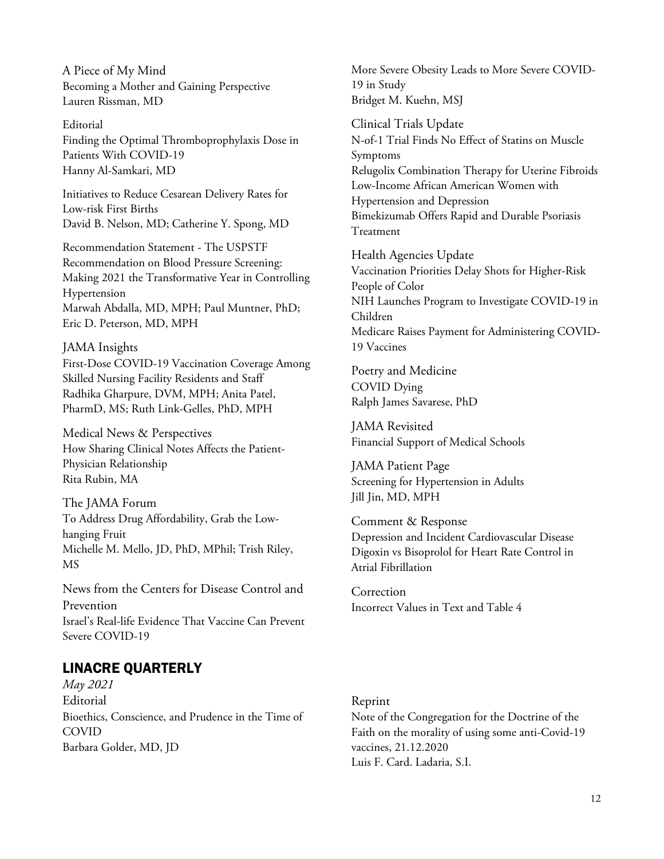A Piece of My Mind Becoming a Mother and Gaining Perspective Lauren Rissman, MD

#### Editorial

Finding the Optimal Thromboprophylaxis Dose in Patients With COVID-19 Hanny Al-Samkari, MD

Initiatives to Reduce Cesarean Delivery Rates for Low-risk First Births David B. Nelson, MD; Catherine Y. Spong, MD

Recommendation Statement - The USPSTF Recommendation on Blood Pressure Screening: Making 2021 the Transformative Year in Controlling Hypertension Marwah Abdalla, MD, MPH; Paul Muntner, PhD; Eric D. Peterson, MD, MPH

JAMA Insights First-Dose COVID-19 Vaccination Coverage Among Skilled Nursing Facility Residents and Staff Radhika Gharpure, DVM, MPH; Anita Patel, PharmD, MS; Ruth Link-Gelles, PhD, MPH

Medical News & Perspectives How Sharing Clinical Notes Affects the Patient-Physician Relationship Rita Rubin, MA

The JAMA Forum To Address Drug Affordability, Grab the Lowhanging Fruit Michelle M. Mello, JD, PhD, MPhil; Trish Riley, MS

News from the Centers for Disease Control and Prevention Israel's Real-life Evidence That Vaccine Can Prevent Severe COVID-19

# LINACRE QUARTERLY

*May 2021* Editorial Bioethics, Conscience, and Prudence in the Time of COVID Barbara Golder, MD, JD

More Severe Obesity Leads to More Severe COVID-19 in Study Bridget M. Kuehn, MSJ

Clinical Trials Update N-of-1 Trial Finds No Effect of Statins on Muscle Symptoms Relugolix Combination Therapy for Uterine Fibroids Low-Income African American Women with Hypertension and Depression Bimekizumab Offers Rapid and Durable Psoriasis Treatment

Health Agencies Update Vaccination Priorities Delay Shots for Higher-Risk People of Color NIH Launches Program to Investigate COVID-19 in Children Medicare Raises Payment for Administering COVID-19 Vaccines

Poetry and Medicine COVID Dying Ralph James Savarese, PhD

JAMA Revisited Financial Support of Medical Schools

JAMA Patient Page Screening for Hypertension in Adults Jill Jin, MD, MPH

Comment & Response Depression and Incident Cardiovascular Disease Digoxin vs Bisoprolol for Heart Rate Control in Atrial Fibrillation

Correction Incorrect Values in Text and Table 4

#### Reprint

Note of the Congregation for the Doctrine of the Faith on the morality of using some anti-Covid-19 vaccines, 21.12.2020 Luis F. Card. Ladaria, S.I.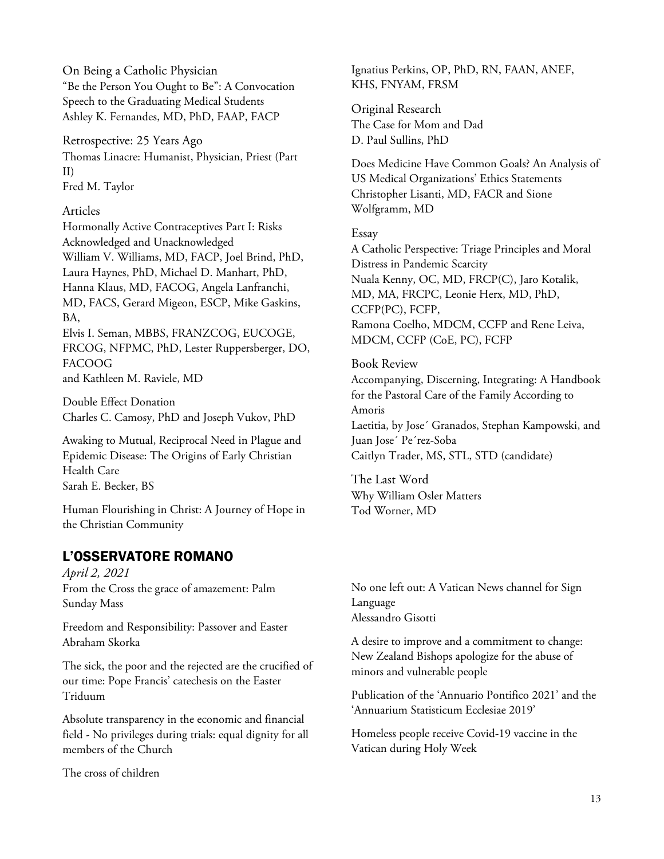On Being a Catholic Physician "Be the Person You Ought to Be": A Convocation Speech to the Graduating Medical Students Ashley K. Fernandes, MD, PhD, FAAP, FACP

Retrospective: 25 Years Ago Thomas Linacre: Humanist, Physician, Priest (Part II) Fred M. Taylor

### Articles

Hormonally Active Contraceptives Part I: Risks Acknowledged and Unacknowledged William V. Williams, MD, FACP, Joel Brind, PhD, Laura Haynes, PhD, Michael D. Manhart, PhD, Hanna Klaus, MD, FACOG, Angela Lanfranchi, MD, FACS, Gerard Migeon, ESCP, Mike Gaskins, BA, Elvis I. Seman, MBBS, FRANZCOG, EUCOGE,

FRCOG, NFPMC, PhD, Lester Ruppersberger, DO, FACOOG

and Kathleen M. Raviele, MD

Double Effect Donation Charles C. Camosy, PhD and Joseph Vukov, PhD

Awaking to Mutual, Reciprocal Need in Plague and Epidemic Disease: The Origins of Early Christian Health Care Sarah E. Becker, BS

Human Flourishing in Christ: A Journey of Hope in the Christian Community

# L'OSSERVATORE ROMANO

*April 2, 2021* From the Cross the grace of amazement: Palm Sunday Mass

Freedom and Responsibility: Passover and Easter Abraham Skorka

The sick, the poor and the rejected are the crucified of our time: Pope Francis' catechesis on the Easter Triduum

Absolute transparency in the economic and financial field - No privileges during trials: equal dignity for all members of the Church

The cross of children

Ignatius Perkins, OP, PhD, RN, FAAN, ANEF, KHS, FNYAM, FRSM

Original Research The Case for Mom and Dad D. Paul Sullins, PhD

Does Medicine Have Common Goals? An Analysis of US Medical Organizations' Ethics Statements Christopher Lisanti, MD, FACR and Sione Wolfgramm, MD

## Essay

A Catholic Perspective: Triage Principles and Moral Distress in Pandemic Scarcity Nuala Kenny, OC, MD, FRCP(C), Jaro Kotalik, MD, MA, FRCPC, Leonie Herx, MD, PhD, CCFP(PC), FCFP, Ramona Coelho, MDCM, CCFP and Rene Leiva, MDCM, CCFP (CoE, PC), FCFP

## Book Review

Accompanying, Discerning, Integrating: A Handbook for the Pastoral Care of the Family According to Amoris Laetitia, by Jose´ Granados, Stephan Kampowski, and Juan Jose´ Pe´rez-Soba Caitlyn Trader, MS, STL, STD (candidate)

The Last Word Why William Osler Matters Tod Worner, MD

No one left out: A Vatican News channel for Sign Language Alessandro Gisotti

A desire to improve and a commitment to change: New Zealand Bishops apologize for the abuse of minors and vulnerable people

Publication of the 'Annuario Pontifico 2021' and the 'Annuarium Statisticum Ecclesiae 2019'

Homeless people receive Covid-19 vaccine in the Vatican during Holy Week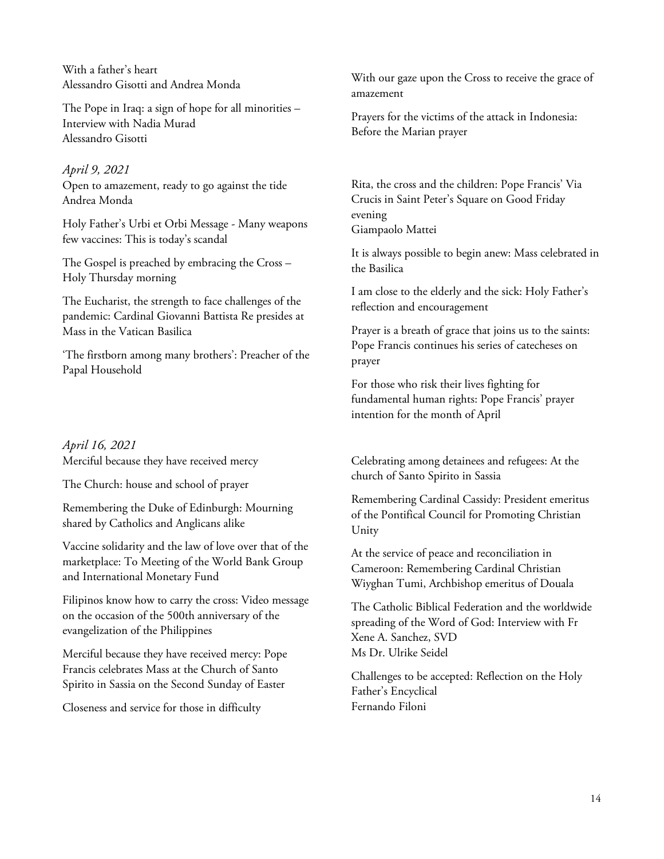With a father's heart Alessandro Gisotti and Andrea Monda

The Pope in Iraq: a sign of hope for all minorities – Interview with Nadia Murad Alessandro Gisotti

## *April 9, 2021*

Open to amazement, ready to go against the tide Andrea Monda

Holy Father's Urbi et Orbi Message - Many weapons few vaccines: This is today's scandal

The Gospel is preached by embracing the Cross – Holy Thursday morning

The Eucharist, the strength to face challenges of the pandemic: Cardinal Giovanni Battista Re presides at Mass in the Vatican Basilica

'The firstborn among many brothers': Preacher of the Papal Household

*April 16, 2021* Merciful because they have received mercy

The Church: house and school of prayer

Remembering the Duke of Edinburgh: Mourning shared by Catholics and Anglicans alike

Vaccine solidarity and the law of love over that of the marketplace: To Meeting of the World Bank Group and International Monetary Fund

Filipinos know how to carry the cross: Video message on the occasion of the 500th anniversary of the evangelization of the Philippines

Merciful because they have received mercy: Pope Francis celebrates Mass at the Church of Santo Spirito in Sassia on the Second Sunday of Easter

Closeness and service for those in difficulty

With our gaze upon the Cross to receive the grace of amazement

Prayers for the victims of the attack in Indonesia: Before the Marian prayer

Rita, the cross and the children: Pope Francis' Via Crucis in Saint Peter's Square on Good Friday evening Giampaolo Mattei

It is always possible to begin anew: Mass celebrated in the Basilica

I am close to the elderly and the sick: Holy Father's reflection and encouragement

Prayer is a breath of grace that joins us to the saints: Pope Francis continues his series of catecheses on prayer

For those who risk their lives fighting for fundamental human rights: Pope Francis' prayer intention for the month of April

Celebrating among detainees and refugees: At the church of Santo Spirito in Sassia

Remembering Cardinal Cassidy: President emeritus of the Pontifical Council for Promoting Christian Unity

At the service of peace and reconciliation in Cameroon: Remembering Cardinal Christian Wiyghan Tumi, Archbishop emeritus of Douala

The Catholic Biblical Federation and the worldwide spreading of the Word of God: Interview with Fr Xene A. Sanchez, SVD Ms Dr. Ulrike Seidel

Challenges to be accepted: Reflection on the Holy Father's Encyclical Fernando Filoni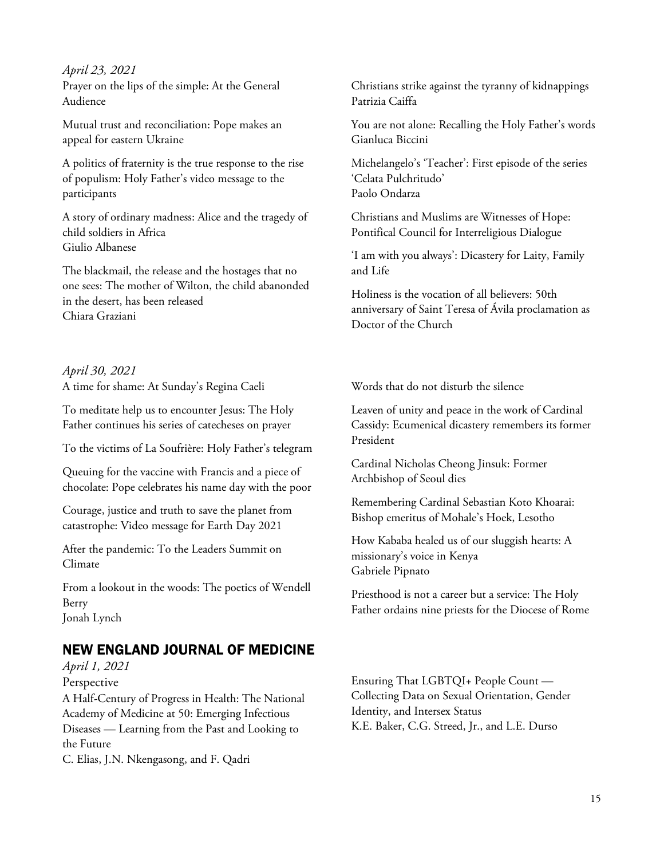*April 23, 2021* Prayer on the lips of the simple: At the General Audience

Mutual trust and reconciliation: Pope makes an appeal for eastern Ukraine

A politics of fraternity is the true response to the rise of populism: Holy Father's video message to the participants

A story of ordinary madness: Alice and the tragedy of child soldiers in Africa Giulio Albanese

The blackmail, the release and the hostages that no one sees: The mother of Wilton, the child abanonded in the desert, has been released Chiara Graziani

*April 30, 2021* A time for shame: At Sunday's Regina Caeli

To meditate help us to encounter Jesus: The Holy Father continues his series of catecheses on prayer

To the victims of La Soufrière: Holy Father's telegram

Queuing for the vaccine with Francis and a piece of chocolate: Pope celebrates his name day with the poor

Courage, justice and truth to save the planet from catastrophe: Video message for Earth Day 2021

After the pandemic: To the Leaders Summit on Climate

From a lookout in the woods: The poetics of Wendell Berry Jonah Lynch

# NEW ENGLAND JOURNAL OF MEDICINE

*April 1, 2021* Perspective

A Half-Century of Progress in Health: The National Academy of Medicine at 50: Emerging Infectious Diseases — Learning from the Past and Looking to the Future

C. Elias, J.N. Nkengasong, and F. Qadri

Christians strike against the tyranny of kidnappings Patrizia Caiffa

You are not alone: Recalling the Holy Father's words Gianluca Biccini

Michelangelo's 'Teacher': First episode of the series 'Celata Pulchritudo' Paolo Ondarza

Christians and Muslims are Witnesses of Hope: Pontifical Council for Interreligious Dialogue

'I am with you always': Dicastery for Laity, Family and Life

Holiness is the vocation of all believers: 50th anniversary of Saint Teresa of Ávila proclamation as Doctor of the Church

Words that do not disturb the silence

Leaven of unity and peace in the work of Cardinal Cassidy: Ecumenical dicastery remembers its former President

Cardinal Nicholas Cheong Jinsuk: Former Archbishop of Seoul dies

Remembering Cardinal Sebastian Koto Khoarai: Bishop emeritus of Mohale's Hoek, Lesotho

How Kababa healed us of our sluggish hearts: A missionary's voice in Kenya Gabriele Pipnato

Priesthood is not a career but a service: The Holy Father ordains nine priests for the Diocese of Rome

Ensuring That LGBTQI+ People Count — Collecting Data on Sexual Orientation, Gender Identity, and Intersex Status K.E. Baker, C.G. Streed, Jr., and L.E. Durso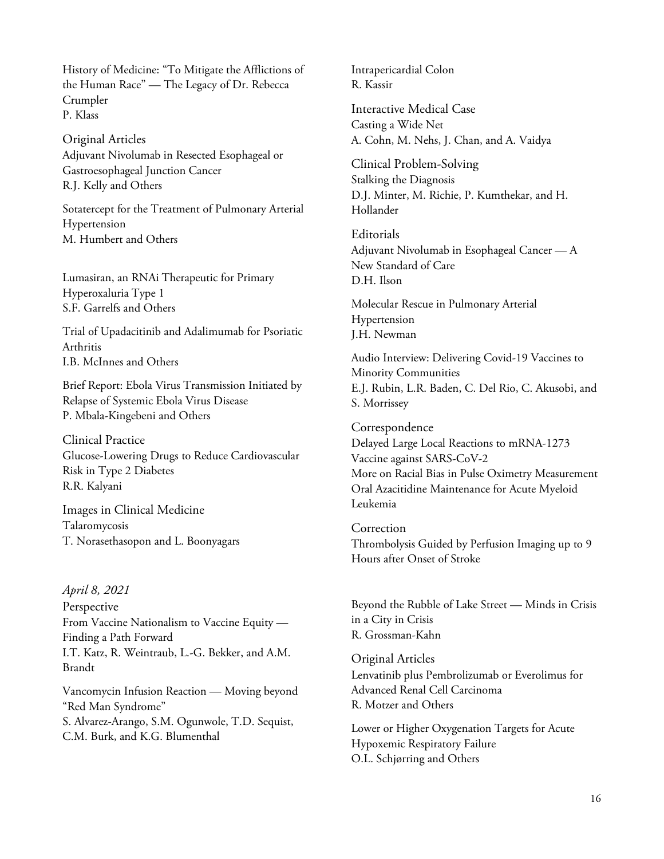History of Medicine: "To Mitigate the Afflictions of the Human Race" — The Legacy of Dr. Rebecca Crumpler P. Klass

Original Articles Adjuvant Nivolumab in Resected Esophageal or Gastroesophageal Junction Cancer R.J. Kelly and Others

Sotatercept for the Treatment of Pulmonary Arterial Hypertension M. Humbert and Others

Lumasiran, an RNAi Therapeutic for Primary Hyperoxaluria Type 1 S.F. Garrelfs and Others

Trial of Upadacitinib and Adalimumab for Psoriatic Arthritis I.B. McInnes and Others

Brief Report: Ebola Virus Transmission Initiated by Relapse of Systemic Ebola Virus Disease P. Mbala-Kingebeni and Others

Clinical Practice Glucose-Lowering Drugs to Reduce Cardiovascular Risk in Type 2 Diabetes R.R. Kalyani

Images in Clinical Medicine Talaromycosis T. Norasethasopon and L. Boonyagars

#### *April 8, 2021*

Perspective From Vaccine Nationalism to Vaccine Equity — Finding a Path Forward I.T. Katz, R. Weintraub, L.-G. Bekker, and A.M. Brandt

Vancomycin Infusion Reaction — Moving beyond "Red Man Syndrome" S. Alvarez-Arango, S.M. Ogunwole, T.D. Sequist, C.M. Burk, and K.G. Blumenthal

Intrapericardial Colon R. Kassir

Interactive Medical Case Casting a Wide Net A. Cohn, M. Nehs, J. Chan, and A. Vaidya

Clinical Problem-Solving Stalking the Diagnosis D.J. Minter, M. Richie, P. Kumthekar, and H. Hollander

Editorials Adjuvant Nivolumab in Esophageal Cancer — A New Standard of Care D.H. Ilson

Molecular Rescue in Pulmonary Arterial Hypertension J.H. Newman

Audio Interview: Delivering Covid-19 Vaccines to Minority Communities E.J. Rubin, L.R. Baden, C. Del Rio, C. Akusobi, and S. Morrissey

Correspondence Delayed Large Local Reactions to mRNA-1273 Vaccine against SARS-CoV-2 More on Racial Bias in Pulse Oximetry Measurement Oral Azacitidine Maintenance for Acute Myeloid Leukemia

Correction Thrombolysis Guided by Perfusion Imaging up to 9 Hours after Onset of Stroke

Beyond the Rubble of Lake Street — Minds in Crisis in a City in Crisis R. Grossman-Kahn

Original Articles Lenvatinib plus Pembrolizumab or Everolimus for Advanced Renal Cell Carcinoma R. Motzer and Others

Lower or Higher Oxygenation Targets for Acute Hypoxemic Respiratory Failure O.L. Schjørring and Others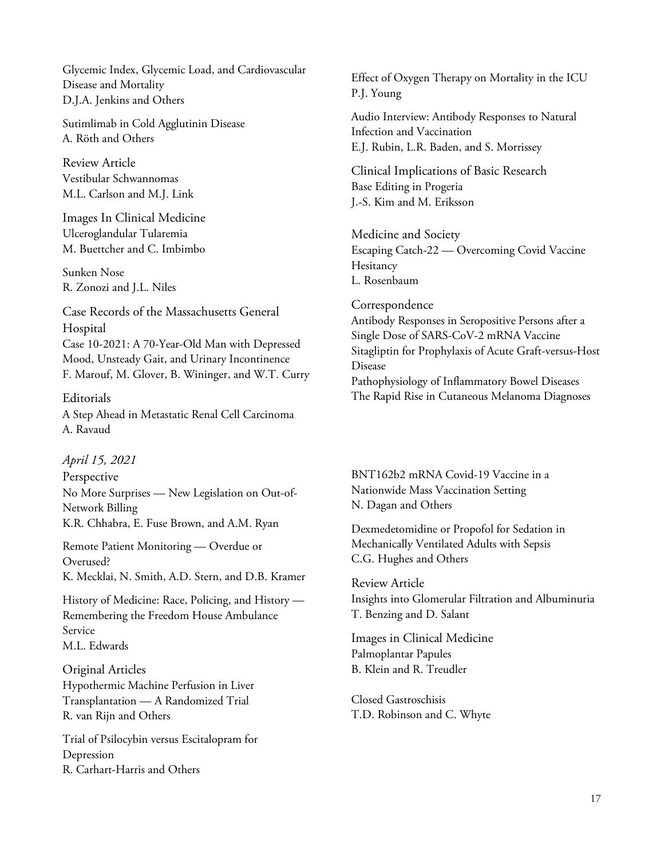Glycemic Index, Glycemic Load, and Cardiovascular Disease and Mortality D.J.A. Jenkins and Others

Sutimlimab in Cold Agglutinin Disease A. Röth and Others

Review Article Vestibular Schwannomas M.L. Carlson and M.J. Link

Images In Clinical Medicine Ulceroglandular Tularemia M. Buettcher and C. Imbimbo

Sunken Nose R. Zonozi and J.L. Niles

Case Records of the Massachusetts General Hospital Case 10-2021: A 70-Year-Old Man with Depressed Mood, Unsteady Gait, and Urinary Incontinence F. Marouf, M. Glover, B. Wininger, and W.T. Curry

Editorials A Step Ahead in Metastatic Renal Cell Carcinoma A. Ravaud

*April 15, 2021*

Perspective No More Surprises — New Legislation on Out-of-Network Billing K.R. Chhabra, E. Fuse Brown, and A.M. Ryan

Remote Patient Monitoring — Overdue or Overused? K. Mecklai, N. Smith, A.D. Stern, and D.B. Kramer

History of Medicine: Race, Policing, and History — Remembering the Freedom House Ambulance Service M.L. Edwards

Original Articles Hypothermic Machine Perfusion in Liver Transplantation — A Randomized Trial R. van Rijn and Others

Trial of Psilocybin versus Escitalopram for Depression R. Carhart-Harris and Others

Effect of Oxygen Therapy on Mortality in the ICU P.J. Young

Audio Interview: Antibody Responses to Natural Infection and Vaccination E.J. Rubin, L.R. Baden, and S. Morrissey

Clinical Implications of Basic Research Base Editing in Progeria J.-S. Kim and M. Eriksson

Medicine and Society Escaping Catch-22 — Overcoming Covid Vaccine **Hesitancy** L. Rosenbaum

Correspondence Antibody Responses in Seropositive Persons after a Single Dose of SARS-CoV-2 mRNA Vaccine Sitagliptin for Prophylaxis of Acute Graft-versus-Host Disease Pathophysiology of Inflammatory Bowel Diseases The Rapid Rise in Cutaneous Melanoma Diagnoses

BNT162b2 mRNA Covid-19 Vaccine in a Nationwide Mass Vaccination Setting N. Dagan and Others

Dexmedetomidine or Propofol for Sedation in Mechanically Ventilated Adults with Sepsis C.G. Hughes and Others

Review Article Insights into Glomerular Filtration and Albuminuria T. Benzing and D. Salant

Images in Clinical Medicine Palmoplantar Papules B. Klein and R. Treudler

Closed Gastroschisis T.D. Robinson and C. Whyte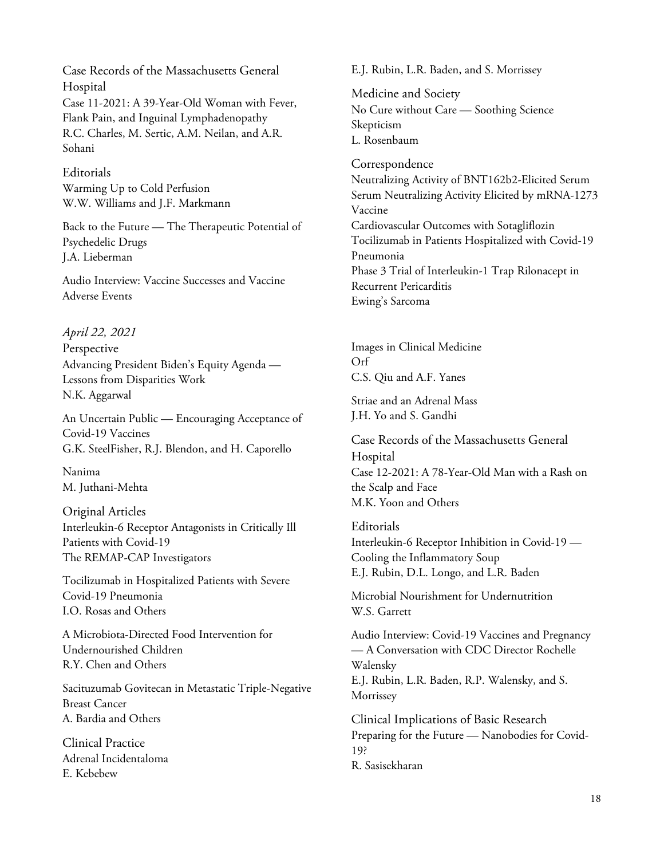Case Records of the Massachusetts General Hospital Case 11-2021: A 39-Year-Old Woman with Fever, Flank Pain, and Inguinal Lymphadenopathy R.C. Charles, M. Sertic, A.M. Neilan, and A.R. Sohani

Editorials Warming Up to Cold Perfusion W.W. Williams and J.F. Markmann

Back to the Future — The Therapeutic Potential of Psychedelic Drugs J.A. Lieberman

Audio Interview: Vaccine Successes and Vaccine Adverse Events

#### *April 22, 2021*

Perspective Advancing President Biden's Equity Agenda — Lessons from Disparities Work N.K. Aggarwal

An Uncertain Public — Encouraging Acceptance of Covid-19 Vaccines G.K. SteelFisher, R.J. Blendon, and H. Caporello

Nanima M. Juthani-Mehta

Original Articles Interleukin-6 Receptor Antagonists in Critically Ill Patients with Covid-19 The REMAP-CAP Investigators

Tocilizumab in Hospitalized Patients with Severe Covid-19 Pneumonia I.O. Rosas and Others

A Microbiota-Directed Food Intervention for Undernourished Children R.Y. Chen and Others

Sacituzumab Govitecan in Metastatic Triple-Negative Breast Cancer A. Bardia and Others

Clinical Practice Adrenal Incidentaloma E. Kebebew

E.J. Rubin, L.R. Baden, and S. Morrissey

Medicine and Society No Cure without Care — Soothing Science Skepticism L. Rosenbaum

Correspondence Neutralizing Activity of BNT162b2-Elicited Serum Serum Neutralizing Activity Elicited by mRNA-1273 Vaccine Cardiovascular Outcomes with Sotagliflozin Tocilizumab in Patients Hospitalized with Covid-19 Pneumonia Phase 3 Trial of Interleukin-1 Trap Rilonacept in Recurrent Pericarditis Ewing's Sarcoma

Images in Clinical Medicine Orf C.S. Qiu and A.F. Yanes

Striae and an Adrenal Mass J.H. Yo and S. Gandhi

Case Records of the Massachusetts General Hospital Case 12-2021: A 78-Year-Old Man with a Rash on the Scalp and Face M.K. Yoon and Others

**Editorials** Interleukin-6 Receptor Inhibition in Covid-19 — Cooling the Inflammatory Soup E.J. Rubin, D.L. Longo, and L.R. Baden

Microbial Nourishment for Undernutrition W.S. Garrett

Audio Interview: Covid-19 Vaccines and Pregnancy — A Conversation with CDC Director Rochelle Walensky E.J. Rubin, L.R. Baden, R.P. Walensky, and S. Morrissey

Clinical Implications of Basic Research Preparing for the Future — Nanobodies for Covid-19? R. Sasisekharan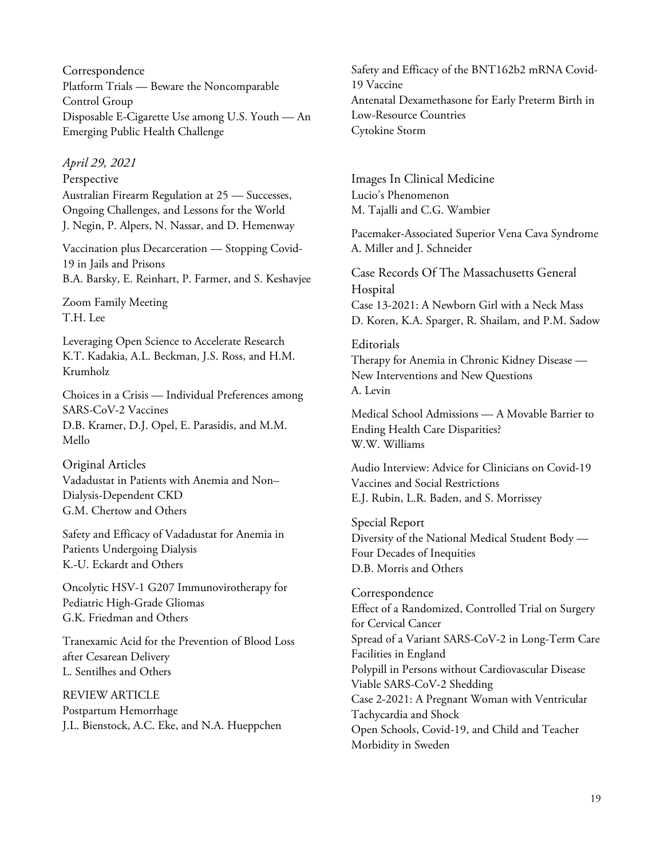Correspondence Platform Trials — Beware the Noncomparable Control Group Disposable E-Cigarette Use among U.S. Youth — An Emerging Public Health Challenge

#### *April 29, 2021*

Perspective Australian Firearm Regulation at 25 — Successes, Ongoing Challenges, and Lessons for the World J. Negin, P. Alpers, N. Nassar, and D. Hemenway

Vaccination plus Decarceration — Stopping Covid-19 in Jails and Prisons B.A. Barsky, E. Reinhart, P. Farmer, and S. Keshavjee

Zoom Family Meeting T.H. Lee

Leveraging Open Science to Accelerate Research K.T. Kadakia, A.L. Beckman, J.S. Ross, and H.M. Krumholz

Choices in a Crisis — Individual Preferences among SARS-CoV-2 Vaccines D.B. Kramer, D.J. Opel, E. Parasidis, and M.M. Mello

# Original Articles Vadadustat in Patients with Anemia and Non– Dialysis-Dependent CKD G.M. Chertow and Others

Safety and Efficacy of Vadadustat for Anemia in Patients Undergoing Dialysis K.-U. Eckardt and Others

Oncolytic HSV-1 G207 Immunovirotherapy for Pediatric High-Grade Gliomas G.K. Friedman and Others

Tranexamic Acid for the Prevention of Blood Loss after Cesarean Delivery L. Sentilhes and Others

REVIEW ARTICLE Postpartum Hemorrhage J.L. Bienstock, A.C. Eke, and N.A. Hueppchen

Safety and Efficacy of the BNT162b2 mRNA Covid-19 Vaccine Antenatal Dexamethasone for Early Preterm Birth in Low-Resource Countries Cytokine Storm

Images In Clinical Medicine Lucio's Phenomenon M. Tajalli and C.G. Wambier

Pacemaker-Associated Superior Vena Cava Syndrome A. Miller and J. Schneider

Case Records Of The Massachusetts General Hospital Case 13-2021: A Newborn Girl with a Neck Mass D. Koren, K.A. Sparger, R. Shailam, and P.M. Sadow

## **Editorials** Therapy for Anemia in Chronic Kidney Disease — New Interventions and New Questions A. Levin

Medical School Admissions — A Movable Barrier to Ending Health Care Disparities? W.W. Williams

Audio Interview: Advice for Clinicians on Covid-19 Vaccines and Social Restrictions E.J. Rubin, L.R. Baden, and S. Morrissey

Special Report Diversity of the National Medical Student Body — Four Decades of Inequities D.B. Morris and Others

Correspondence Effect of a Randomized, Controlled Trial on Surgery for Cervical Cancer Spread of a Variant SARS-CoV-2 in Long-Term Care Facilities in England Polypill in Persons without Cardiovascular Disease Viable SARS-CoV-2 Shedding Case 2-2021: A Pregnant Woman with Ventricular Tachycardia and Shock Open Schools, Covid-19, and Child and Teacher Morbidity in Sweden